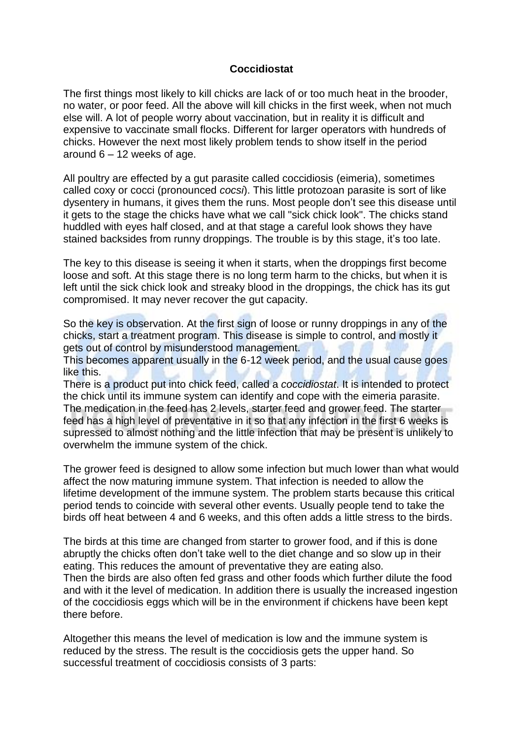## **Coccidiostat**

The first things most likely to kill chicks are lack of or too much heat in the brooder, no water, or poor feed. All the above will kill chicks in the first week, when not much else will. A lot of people worry about vaccination, but in reality it is difficult and expensive to vaccinate small flocks. Different for larger operators with hundreds of chicks. However the next most likely problem tends to show itself in the period around  $6 - 12$  weeks of age.

All poultry are effected by a gut parasite called coccidiosis (eimeria), sometimes called coxy or cocci (pronounced *cocsi*). This little protozoan parasite is sort of like dysentery in humans, it gives them the runs. Most people don't see this disease until it gets to the stage the chicks have what we call "sick chick look". The chicks stand huddled with eyes half closed, and at that stage a careful look shows they have stained backsides from runny droppings. The trouble is by this stage, it's too late.

The key to this disease is seeing it when it starts, when the droppings first become loose and soft. At this stage there is no long term harm to the chicks, but when it is left until the sick chick look and streaky blood in the droppings, the chick has its gut compromised. It may never recover the gut capacity.

So the key is observation. At the first sign of loose or runny droppings in any of the chicks, start a treatment program. This disease is simple to control, and mostly it gets out of control by misunderstood management.

This becomes apparent usually in the 6-12 week period, and the usual cause goes like this.

There is a product put into chick feed, called a *coccidiostat*. It is intended to protect the chick until its immune system can identify and cope with the eimeria parasite. The medication in the feed has 2 levels, starter feed and grower feed. The starter feed has a high level of preventative in it so that any infection in the first 6 weeks is supressed to almost nothing and the little infection that may be present is unlikely to overwhelm the immune system of the chick.

The grower feed is designed to allow some infection but much lower than what would affect the now maturing immune system. That infection is needed to allow the lifetime development of the immune system. The problem starts because this critical period tends to coincide with several other events. Usually people tend to take the birds off heat between 4 and 6 weeks, and this often adds a little stress to the birds.

The birds at this time are changed from starter to grower food, and if this is done abruptly the chicks often don't take well to the diet change and so slow up in their eating. This reduces the amount of preventative they are eating also. Then the birds are also often fed grass and other foods which further dilute the food and with it the level of medication. In addition there is usually the increased ingestion of the coccidiosis eggs which will be in the environment if chickens have been kept there before.

Altogether this means the level of medication is low and the immune system is reduced by the stress. The result is the coccidiosis gets the upper hand. So successful treatment of coccidiosis consists of 3 parts: